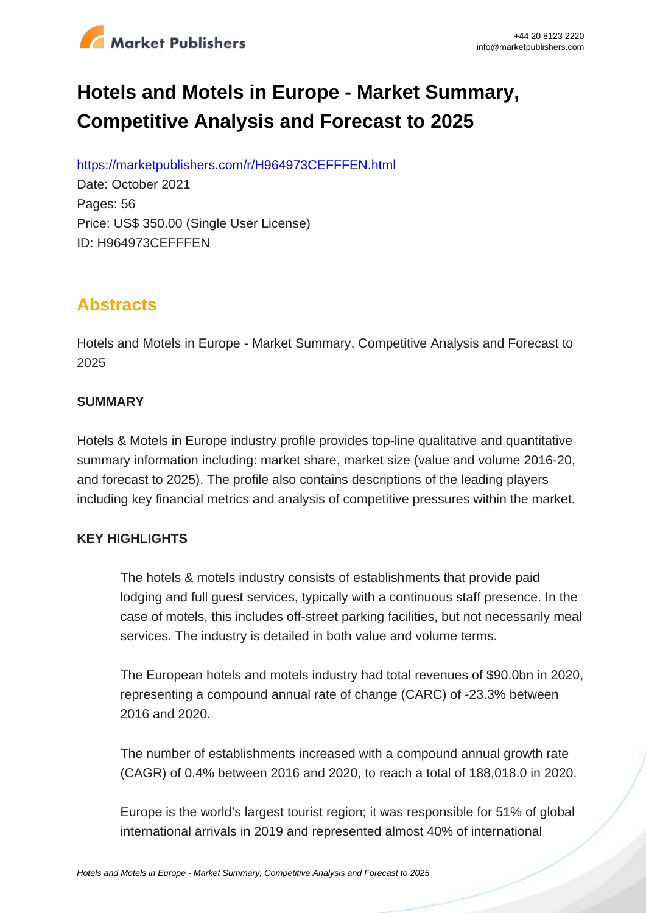

# **Hotels and Motels in Europe - Market Summary, Competitive Analysis and Forecast to 2025**

https://marketpublishers.com/r/H964973CEFFFEN.html

Date: October 2021 Pages: 56 Price: US\$ 350.00 (Single User License) ID: H964973CEFFFEN

### **Abstracts**

Hotels and Motels in Europe - Market Summary, Competitive Analysis and Forecast to 2025

#### **SUMMARY**

Hotels & Motels in Europe industry profile provides top-line qualitative and quantitative summary information including: market share, market size (value and volume 2016-20, and forecast to 2025). The profile also contains descriptions of the leading players including key financial metrics and analysis of competitive pressures within the market.

#### **KEY HIGHLIGHTS**

The hotels & motels industry consists of establishments that provide paid lodging and full guest services, typically with a continuous staff presence. In the case of motels, this includes off-street parking facilities, but not necessarily meal services. The industry is detailed in both value and volume terms.

The European hotels and motels industry had total revenues of \$90.0bn in 2020, representing a compound annual rate of change (CARC) of -23.3% between 2016 and 2020.

The number of establishments increased with a compound annual growth rate (CAGR) of 0.4% between 2016 and 2020, to reach a total of 188,018.0 in 2020.

Europe is the world's largest tourist region; it was responsible for 51% of global international arrivals in 2019 and represented almost 40% of international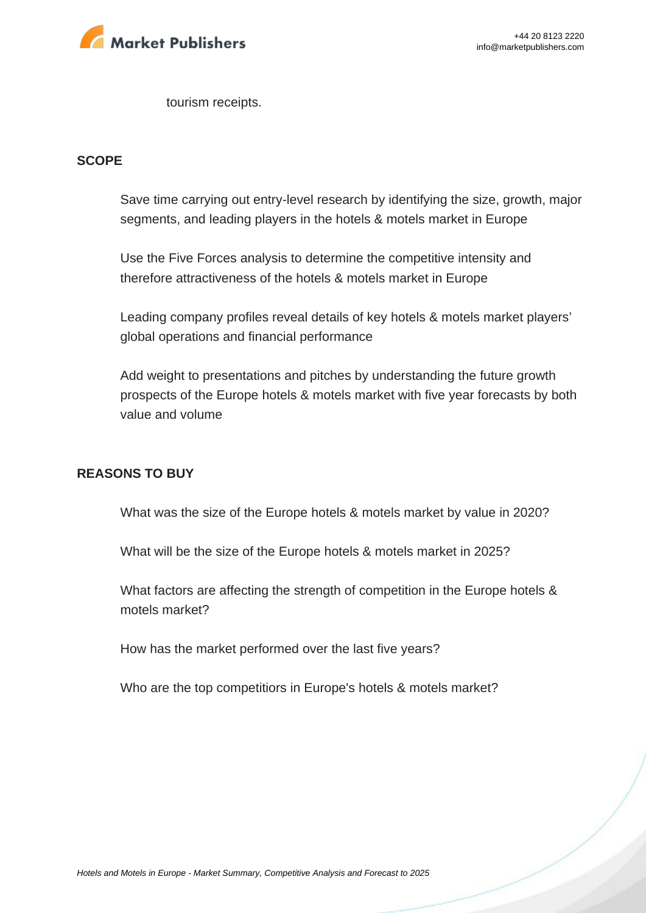

tourism receipts.

#### **SCOPE**

Save time carrying out entry-level research by identifying the size, growth, major segments, and leading players in the hotels & motels market in Europe

Use the Five Forces analysis to determine the competitive intensity and therefore attractiveness of the hotels & motels market in Europe

Leading company profiles reveal details of key hotels & motels market players' global operations and financial performance

Add weight to presentations and pitches by understanding the future growth prospects of the Europe hotels & motels market with five year forecasts by both value and volume

#### **REASONS TO BUY**

What was the size of the Europe hotels & motels market by value in 2020?

What will be the size of the Europe hotels & motels market in 2025?

What factors are affecting the strength of competition in the Europe hotels & motels market?

How has the market performed over the last five years?

Who are the top competitiors in Europe's hotels & motels market?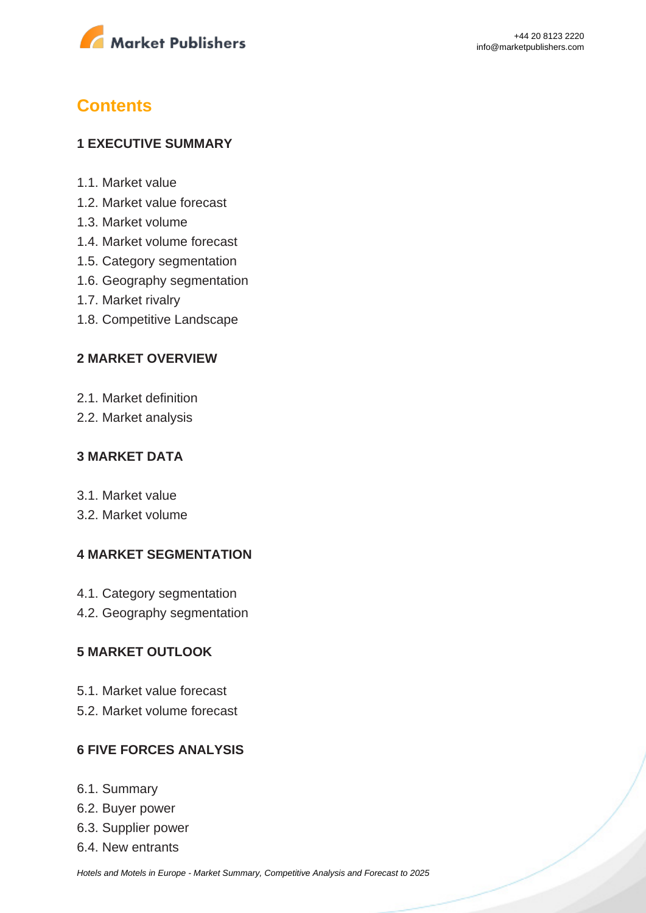

## **Contents**

#### **1 EXECUTIVE SUMMARY**

- 1.1. Market value
- 1.2. Market value forecast
- 1.3. Market volume
- 1.4. Market volume forecast
- 1.5. Category segmentation
- 1.6. Geography segmentation
- 1.7. Market rivalry
- 1.8. Competitive Landscape

#### **2 MARKET OVERVIEW**

- 2.1. Market definition
- 2.2. Market analysis

#### **3 MARKET DATA**

- 3.1. Market value
- 3.2. Market volume

#### **4 MARKET SEGMENTATION**

- 4.1. Category segmentation
- 4.2. Geography segmentation

#### **5 MARKET OUTLOOK**

- 5.1. Market value forecast
- 5.2. Market volume forecast

#### **6 FIVE FORCES ANALYSIS**

- 6.1. Summary
- 6.2. Buyer power
- 6.3. Supplier power
- 6.4. New entrants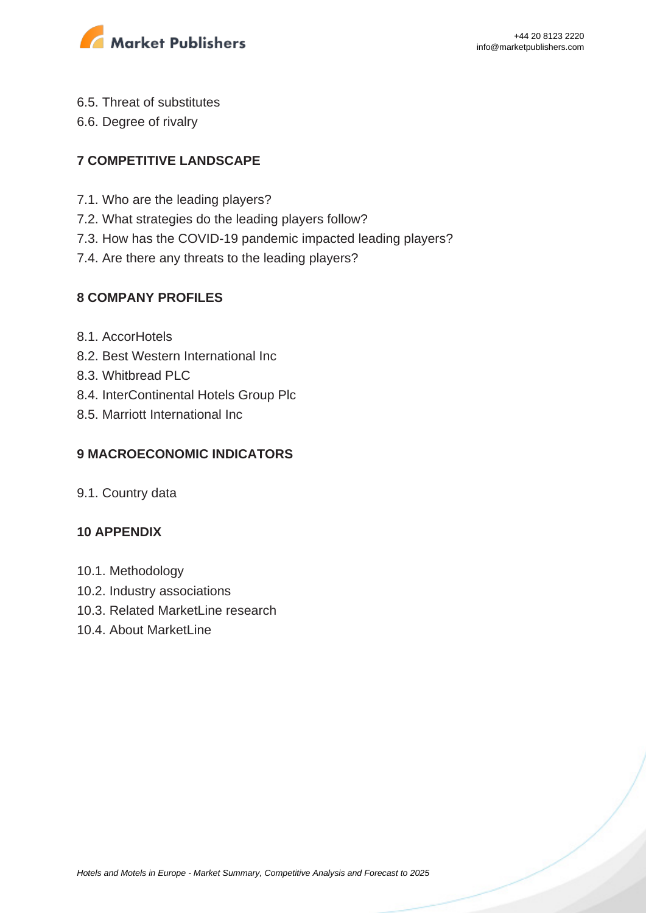

- 6.5. Threat of substitutes
- 6.6. Degree of rivalry

### **7 COMPETITIVE LANDSCAPE**

- 7.1. Who are the leading players?
- 7.2. What strategies do the leading players follow?
- 7.3. How has the COVID-19 pandemic impacted leading players?
- 7.4. Are there any threats to the leading players?

#### **8 COMPANY PROFILES**

- 8.1. AccorHotels
- 8.2. Best Western International Inc
- 8.3. Whitbread PLC
- 8.4. InterContinental Hotels Group Plc
- 8.5. Marriott International Inc

#### **9 MACROECONOMIC INDICATORS**

9.1. Country data

#### **10 APPENDIX**

- 10.1. Methodology
- 10.2. Industry associations
- 10.3. Related MarketLine research
- 10.4. About MarketLine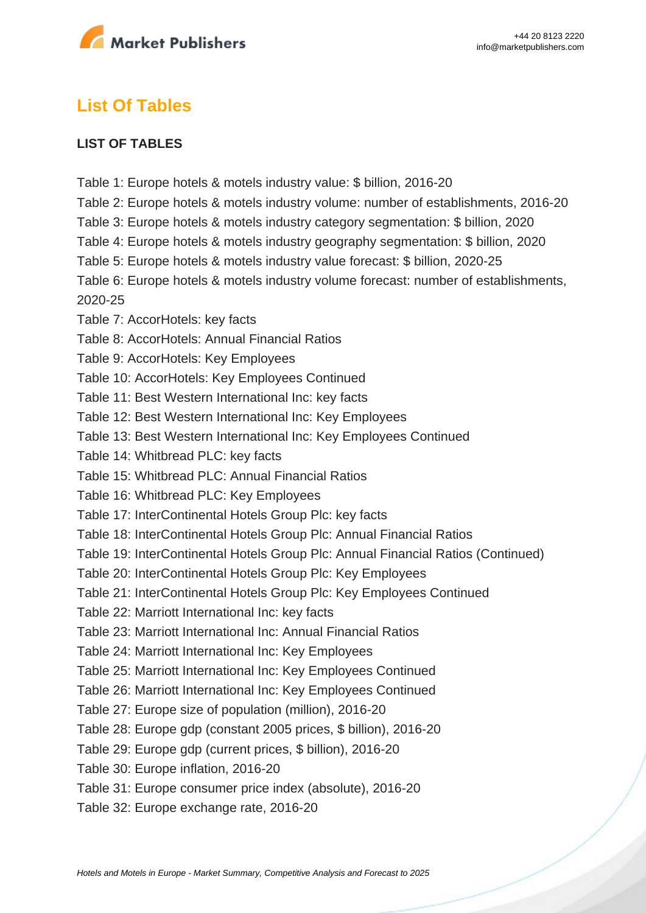

### **List Of Tables**

#### **LIST OF TABLES**

- Table 1: Europe hotels & motels industry value: \$ billion, 2016-20
- Table 2: Europe hotels & motels industry volume: number of establishments, 2016-20
- Table 3: Europe hotels & motels industry category segmentation: \$ billion, 2020
- Table 4: Europe hotels & motels industry geography segmentation: \$ billion, 2020
- Table 5: Europe hotels & motels industry value forecast: \$ billion, 2020-25
- Table 6: Europe hotels & motels industry volume forecast: number of establishments, 2020-25
- Table 7: AccorHotels: key facts
- Table 8: AccorHotels: Annual Financial Ratios
- Table 9: AccorHotels: Key Employees
- Table 10: AccorHotels: Key Employees Continued
- Table 11: Best Western International Inc: key facts
- Table 12: Best Western International Inc: Key Employees
- Table 13: Best Western International Inc: Key Employees Continued
- Table 14: Whitbread PLC: key facts
- Table 15: Whitbread PLC: Annual Financial Ratios
- Table 16: Whitbread PLC: Key Employees
- Table 17: InterContinental Hotels Group Plc: key facts
- Table 18: InterContinental Hotels Group Plc: Annual Financial Ratios
- Table 19: InterContinental Hotels Group Plc: Annual Financial Ratios (Continued)
- Table 20: InterContinental Hotels Group Plc: Key Employees
- Table 21: InterContinental Hotels Group Plc: Key Employees Continued
- Table 22: Marriott International Inc: key facts
- Table 23: Marriott International Inc: Annual Financial Ratios
- Table 24: Marriott International Inc: Key Employees
- Table 25: Marriott International Inc: Key Employees Continued
- Table 26: Marriott International Inc: Key Employees Continued
- Table 27: Europe size of population (million), 2016-20
- Table 28: Europe gdp (constant 2005 prices, \$ billion), 2016-20
- Table 29: Europe gdp (current prices, \$ billion), 2016-20
- Table 30: Europe inflation, 2016-20
- Table 31: Europe consumer price index (absolute), 2016-20
- Table 32: Europe exchange rate, 2016-20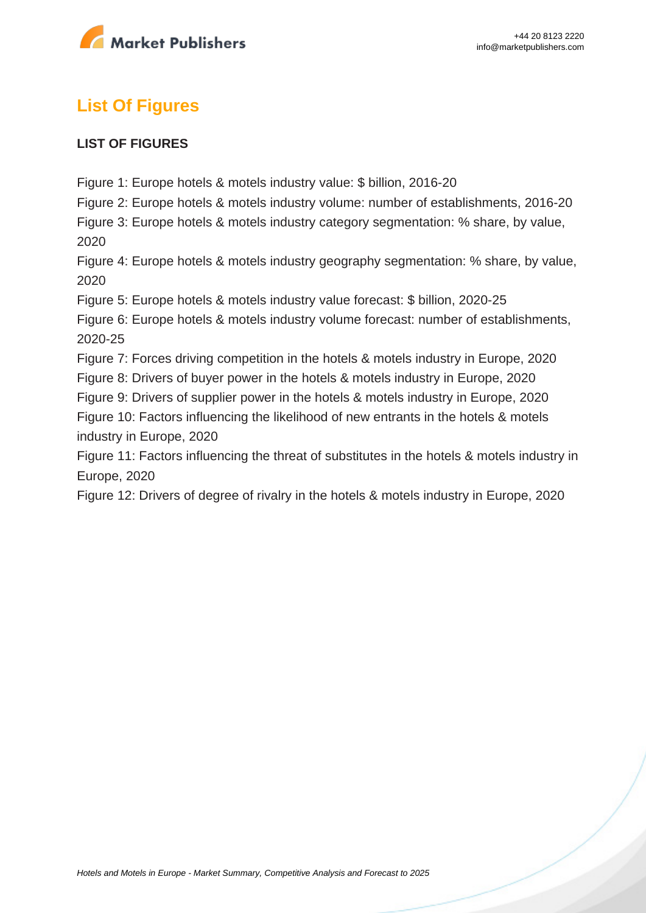

# **List Of Figures**

#### **LIST OF FIGURES**

Figure 1: Europe hotels & motels industry value: \$ billion, 2016-20

Figure 2: Europe hotels & motels industry volume: number of establishments, 2016-20

Figure 3: Europe hotels & motels industry category segmentation: % share, by value, 2020

Figure 4: Europe hotels & motels industry geography segmentation: % share, by value, 2020

Figure 5: Europe hotels & motels industry value forecast: \$ billion, 2020-25

Figure 6: Europe hotels & motels industry volume forecast: number of establishments, 2020-25

Figure 7: Forces driving competition in the hotels & motels industry in Europe, 2020

Figure 8: Drivers of buyer power in the hotels & motels industry in Europe, 2020

Figure 9: Drivers of supplier power in the hotels & motels industry in Europe, 2020

Figure 10: Factors influencing the likelihood of new entrants in the hotels & motels industry in Europe, 2020

Figure 11: Factors influencing the threat of substitutes in the hotels & motels industry in Europe, 2020

Figure 12: Drivers of degree of rivalry in the hotels & motels industry in Europe, 2020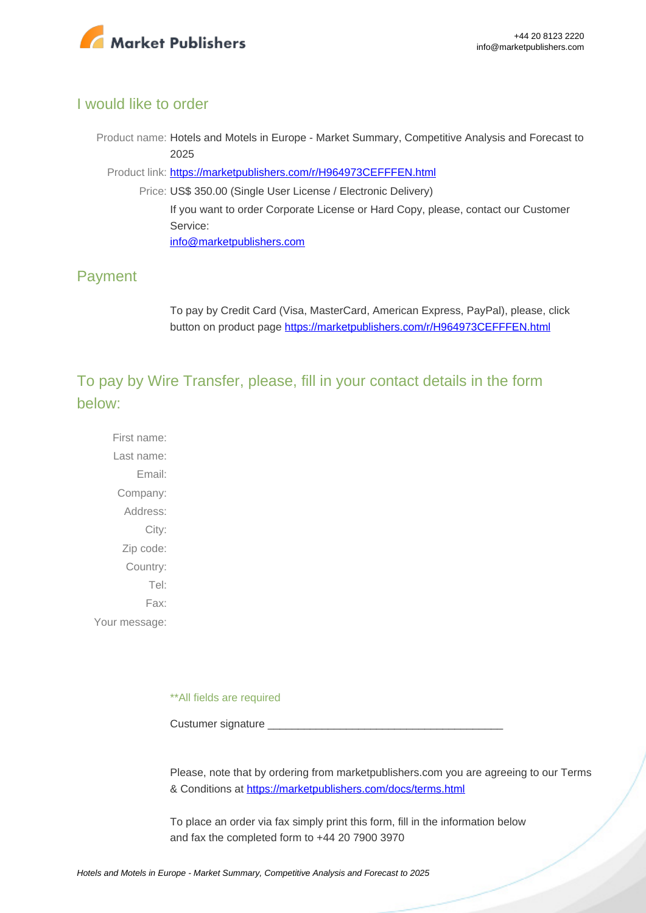

#### I would like to order

Product name: Hotels and Motels in Europe - Market Summary, Competitive Analysis and Forecast to 2025

Product link: [https://marketpublishers.com/r/H964973CEFFFEN.html](https://marketpublishers.com/report/services/hotels/hotels-n-motels-in-europe-market-summary-competitive-analysis-n-forecast-to-2025.html)

Price: US\$ 350.00 (Single User License / Electronic Delivery) If you want to order Corporate License or Hard Copy, please, contact our Customer Service: [info@marketpublishers.com](mailto:info@marketpublishers.com)

### Payment

To pay by Credit Card (Visa, MasterCard, American Express, PayPal), please, click button on product page [https://marketpublishers.com/r/H964973CEFFFEN.html](https://marketpublishers.com/report/services/hotels/hotels-n-motels-in-europe-market-summary-competitive-analysis-n-forecast-to-2025.html)

To pay by Wire Transfer, please, fill in your contact details in the form below:

First name: Last name: Email: Company: Address: City: Zip code: Country: Tel: Fax: Your message:

\*\*All fields are required

Custumer signature

Please, note that by ordering from marketpublishers.com you are agreeing to our Terms & Conditions at<https://marketpublishers.com/docs/terms.html>

To place an order via fax simply print this form, fill in the information below and fax the completed form to +44 20 7900 3970